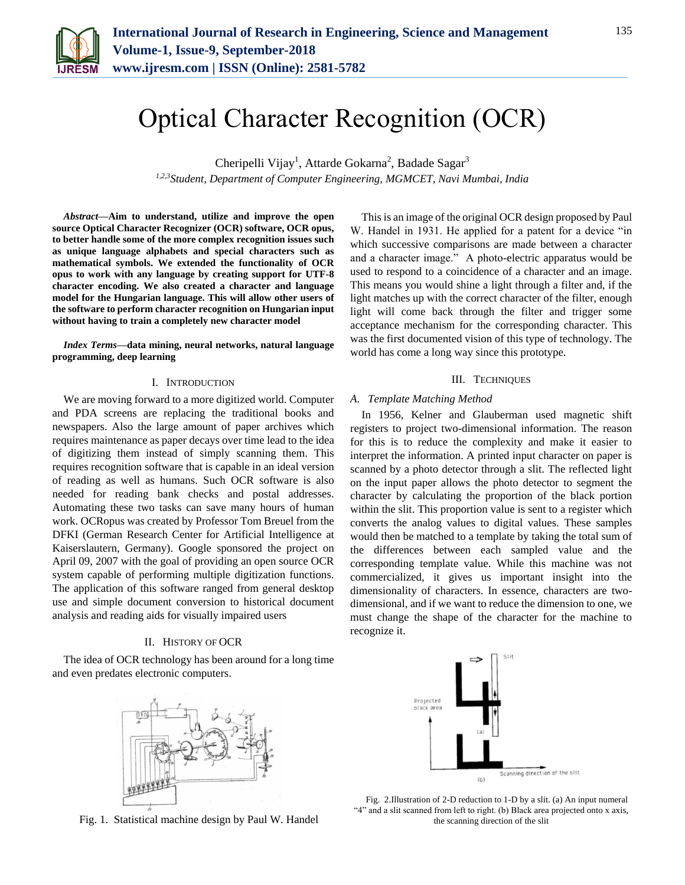

# Optical Character Recognition (OCR)

Cheripelli Vijay<sup>1</sup>, Attarde Gokarna<sup>2</sup>, Badade Sagar<sup>3</sup> *1,2,3Student, Department of Computer Engineering, MGMCET, Navi Mumbai, India*

*Abstract***—Aim to understand, utilize and improve the open source Optical Character Recognizer (OCR) software, OCR opus, to better handle some of the more complex recognition issues such as unique language alphabets and special characters such as mathematical symbols. We extended the functionality of OCR opus to work with any language by creating support for UTF-8 character encoding. We also created a character and language model for the Hungarian language. This will allow other users of the software to perform character recognition on Hungarian input without having to train a completely new character model**

*Index Terms***—data mining, neural networks, natural language programming, deep learning**

#### I. INTRODUCTION

We are moving forward to a more digitized world. Computer and PDA screens are replacing the traditional books and newspapers. Also the large amount of paper archives which requires maintenance as paper decays over time lead to the idea of digitizing them instead of simply scanning them. This requires recognition software that is capable in an ideal version of reading as well as humans. Such OCR software is also needed for reading bank checks and postal addresses. Automating these two tasks can save many hours of human work. OCRopus was created by Professor Tom Breuel from the DFKI (German Research Center for Artificial Intelligence at Kaiserslautern, Germany). Google sponsored the project on April 09, 2007 with the goal of providing an open source OCR system capable of performing multiple digitization functions. The application of this software ranged from general desktop use and simple document conversion to historical document analysis and reading aids for visually impaired users

#### II. HISTORY OF OCR

The idea of OCR technology has been around for a long time and even predates electronic computers.



Fig. 1. Statistical machine design by Paul W. Handel

This is an image of the original OCR design proposed by Paul W. Handel in 1931. He applied for a patent for a device "in which successive comparisons are made between a character and a character image." A photo-electric apparatus would be used to respond to a coincidence of a character and an image. This means you would shine a light through a filter and, if the light matches up with the correct character of the filter, enough light will come back through the filter and trigger some acceptance mechanism for the corresponding character. This was the first documented vision of this type of technology. The world has come a long way since this prototype.

### III. TECHNIQUES

## *A. Template Matching Method*

In 1956, Kelner and Glauberman used magnetic shift registers to project two-dimensional information. The reason for this is to reduce the complexity and make it easier to interpret the information. A printed input character on paper is scanned by a photo detector through a slit. The reflected light on the input paper allows the photo detector to segment the character by calculating the proportion of the black portion within the slit. This proportion value is sent to a register which converts the analog values to digital values. These samples would then be matched to a template by taking the total sum of the differences between each sampled value and the corresponding template value. While this machine was not commercialized, it gives us important insight into the dimensionality of characters. In essence, characters are twodimensional, and if we want to reduce the dimension to one, we must change the shape of the character for the machine to recognize it.



Fig. 2.Illustration of 2-D reduction to 1-D by a slit. (a) An input numeral "4" and a slit scanned from left to right. (b) Black area projected onto x axis, the scanning direction of the slit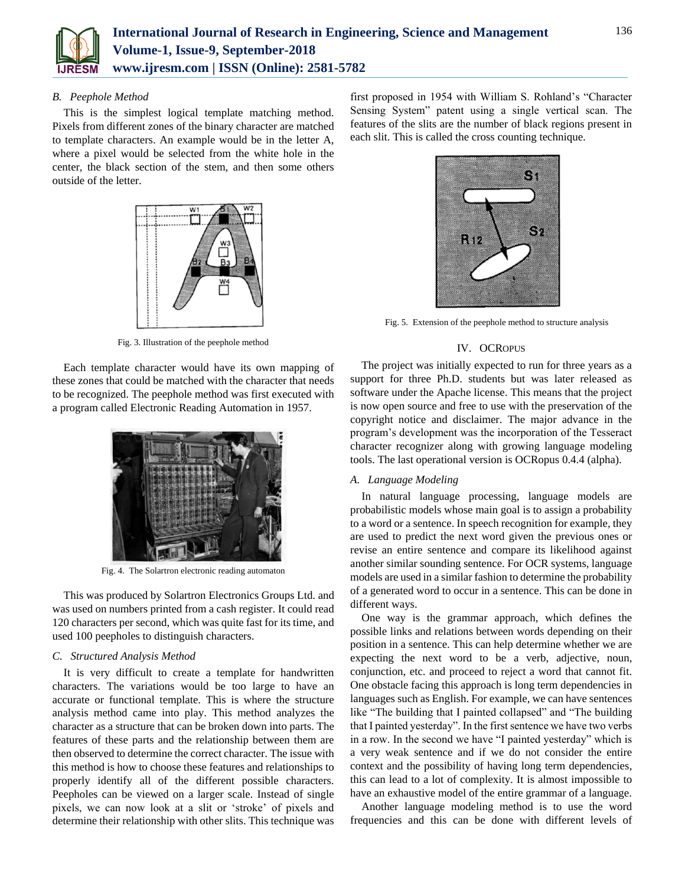

## *B. Peephole Method*

This is the simplest logical template matching method. Pixels from different zones of the binary character are matched to template characters. An example would be in the letter A, where a pixel would be selected from the white hole in the center, the black section of the stem, and then some others outside of the letter.



Fig. 3. Illustration of the peephole method

Each template character would have its own mapping of these zones that could be matched with the character that needs to be recognized. The peephole method was first executed with a program called Electronic Reading Automation in 1957.



Fig. 4. The Solartron electronic reading automaton

This was produced by Solartron Electronics Groups Ltd. and was used on numbers printed from a cash register. It could read 120 characters per second, which was quite fast for its time, and used 100 peepholes to distinguish characters.

## *C. Structured Analysis Method*

It is very difficult to create a template for handwritten characters. The variations would be too large to have an accurate or functional template. This is where the structure analysis method came into play. This method analyzes the character as a structure that can be broken down into parts. The features of these parts and the relationship between them are then observed to determine the correct character. The issue with this method is how to choose these features and relationships to properly identify all of the different possible characters. Peepholes can be viewed on a larger scale. Instead of single pixels, we can now look at a slit or 'stroke' of pixels and determine their relationship with other slits. This technique was

first proposed in 1954 with William S. Rohland's "Character Sensing System" patent using a single vertical scan. The features of the slits are the number of black regions present in each slit. This is called the cross counting technique.



Fig. 5. Extension of the peephole method to structure analysis

## IV. OCROPUS

The project was initially expected to run for three years as a support for three Ph.D. students but was later released as software under the Apache license. This means that the project is now open source and free to use with the preservation of the copyright notice and disclaimer. The major advance in the program's development was the incorporation of the Tesseract character recognizer along with growing language modeling tools. The last operational version is OCRopus 0.4.4 (alpha).

## *A. Language Modeling*

In natural language processing, language models are probabilistic models whose main goal is to assign a probability to a word or a sentence. In speech recognition for example, they are used to predict the next word given the previous ones or revise an entire sentence and compare its likelihood against another similar sounding sentence. For OCR systems, language models are used in a similar fashion to determine the probability of a generated word to occur in a sentence. This can be done in different ways.

One way is the grammar approach, which defines the possible links and relations between words depending on their position in a sentence. This can help determine whether we are expecting the next word to be a verb, adjective, noun, conjunction, etc. and proceed to reject a word that cannot fit. One obstacle facing this approach is long term dependencies in languages such as English. For example, we can have sentences like "The building that I painted collapsed" and "The building that I painted yesterday". In the first sentence we have two verbs in a row. In the second we have "I painted yesterday" which is a very weak sentence and if we do not consider the entire context and the possibility of having long term dependencies, this can lead to a lot of complexity. It is almost impossible to have an exhaustive model of the entire grammar of a language.

Another language modeling method is to use the word frequencies and this can be done with different levels of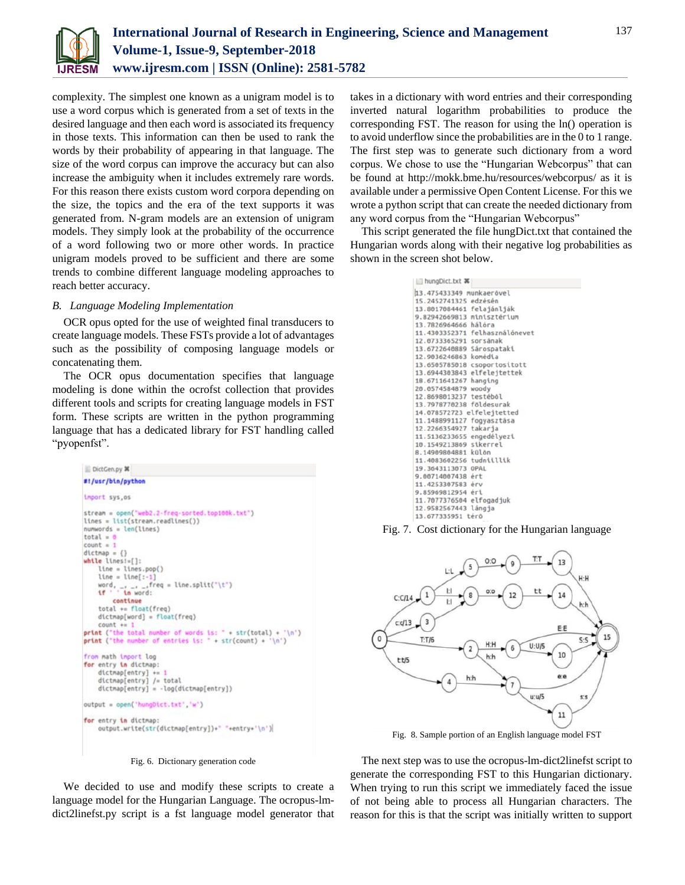

complexity. The simplest one known as a unigram model is to use a word corpus which is generated from a set of texts in the desired language and then each word is associated its frequency in those texts. This information can then be used to rank the words by their probability of appearing in that language. The size of the word corpus can improve the accuracy but can also increase the ambiguity when it includes extremely rare words. For this reason there exists custom word corpora depending on the size, the topics and the era of the text supports it was generated from. N-gram models are an extension of unigram models. They simply look at the probability of the occurrence of a word following two or more other words. In practice unigram models proved to be sufficient and there are some trends to combine different language modeling approaches to reach better accuracy.

## *B. Language Modeling Implementation*

OCR opus opted for the use of weighted final transducers to create language models. These FSTs provide a lot of advantages such as the possibility of composing language models or concatenating them.

The OCR opus documentation specifies that language modeling is done within the ocrofst collection that provides different tools and scripts for creating language models in FST form. These scripts are written in the python programming language that has a dedicated library for FST handling called "pyopenfst".

```
DictGen.py X
#!/usr/bin/python
import sys,os
stream = open("web2.2-freq-sorted.top100k.txt")
lines = list(stream.readlines())
numwords = len(lines)total = 0count = 1dlctmap = \{}
while lines!=[]:
       line = lines.pop()
       line = line[:1], freq = line.split('t')\frac{word}{if} \frac{1}{if} \frac{1}{if} \frac{1}{if} \frac{1}{if} \frac{1}{if} \frac{1}{if} \frac{1}{if} \frac{1}{if} \frac{1}{if} \frac{1}{if} \frac{1}{if} \frac{1}{if} \frac{1}{if} \frac{1}{if} \frac{1}{if} \frac{1}{if} \frac{1}{if} \frac{1}{if} \frac{1}{if} \frac{1}{if} \frac{1}{if} continue
       total += float(freq)dictmap[word] = float(freq)count += 1<br>print ("the total number of words is: " + str(total) + '\n')<br>print ("the number of entries is: " + str(count) + '\n')
from math import log
for entry in dictmap:
       entry in ottensy:<br>dictmap[entry] += 1<br>dictmap[entry] /= total<br>dictmap[entry] = -log(dictmap[entry])
output = open('hungDict.txt','w')
for entry in dictmap:
       output.write(str(dictmap[entry])+" "+entry+'\n')|
```
Fig. 6. Dictionary generation code

We decided to use and modify these scripts to create a language model for the Hungarian Language. The ocropus-lmdict2linefst.py script is a fst language model generator that takes in a dictionary with word entries and their corresponding inverted natural logarithm probabilities to produce the corresponding FST. The reason for using the ln() operation is to avoid underflow since the probabilities are in the 0 to 1 range. The first step was to generate such dictionary from a word corpus. We chose to use the "Hungarian Webcorpus" that can be found at http://mokk.bme.hu/resources/webcorpus/ as it is available under a permissive Open Content License. For this we wrote a python script that can create the needed dictionary from any word corpus from the "Hungarian Webcorpus"

This script generated the file hungDict.txt that contained the Hungarian words along with their negative log probabilities as shown in the screen shot below.



Fig. 7. Cost dictionary for the Hungarian language



Fig. 8. Sample portion of an English language model FST

The next step was to use the ocropus-lm-dict2linefst script to generate the corresponding FST to this Hungarian dictionary. When trying to run this script we immediately faced the issue of not being able to process all Hungarian characters. The reason for this is that the script was initially written to support